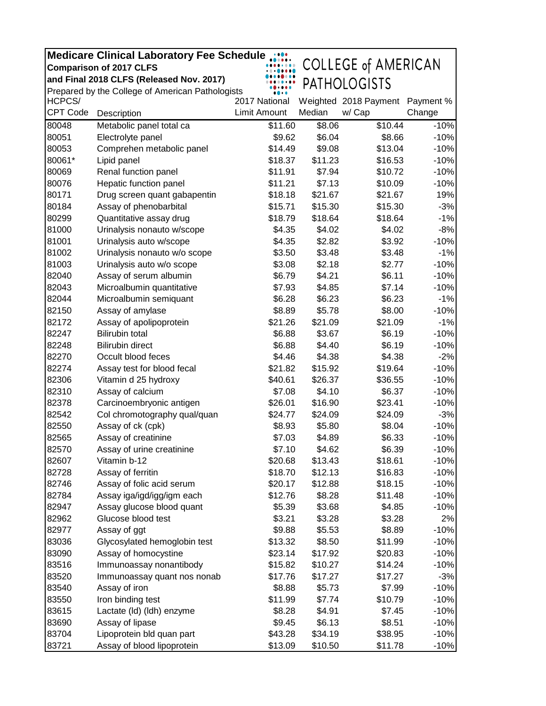| <b>Medicare Clinical Laboratory Fee Schedule</b> |                                                  |               |         |                            |           |  |
|--------------------------------------------------|--------------------------------------------------|---------------|---------|----------------------------|-----------|--|
|                                                  | <b>Comparison of 2017 CLFS</b>                   |               |         | <b>COLLEGE of AMERICAN</b> |           |  |
|                                                  | and Final 2018 CLFS (Released Nov. 2017)         |               |         | <b>PATHOLOGISTS</b>        |           |  |
|                                                  | Prepared by the College of American Pathologists |               |         |                            |           |  |
| HCPCS/                                           |                                                  | 2017 National |         | Weighted 2018 Payment      | Payment % |  |
| <b>CPT Code</b>                                  | Description                                      | Limit Amount  | Median  | w/ Cap                     | Change    |  |
| 80048                                            | Metabolic panel total ca                         | \$11.60       | \$8.06  | \$10.44                    | $-10%$    |  |
| 80051                                            | Electrolyte panel                                | \$9.62        | \$6.04  | \$8.66                     | $-10%$    |  |
| 80053                                            | Comprehen metabolic panel                        | \$14.49       | \$9.08  | \$13.04                    | $-10%$    |  |
| 80061*                                           | Lipid panel                                      | \$18.37       | \$11.23 | \$16.53                    | $-10%$    |  |
| 80069                                            | Renal function panel                             | \$11.91       | \$7.94  | \$10.72                    | $-10%$    |  |
| 80076                                            | Hepatic function panel                           | \$11.21       | \$7.13  | \$10.09                    | $-10%$    |  |
| 80171                                            | Drug screen quant gabapentin                     | \$18.18       | \$21.67 | \$21.67                    | 19%       |  |
| 80184                                            | Assay of phenobarbital                           | \$15.71       | \$15.30 | \$15.30                    | $-3%$     |  |
| 80299                                            | Quantitative assay drug                          | \$18.79       | \$18.64 | \$18.64                    | $-1%$     |  |
| 81000                                            | Urinalysis nonauto w/scope                       | \$4.35        | \$4.02  | \$4.02                     | $-8%$     |  |
| 81001                                            | Urinalysis auto w/scope                          | \$4.35        | \$2.82  | \$3.92                     | $-10%$    |  |
| 81002                                            | Urinalysis nonauto w/o scope                     | \$3.50        | \$3.48  | \$3.48                     | $-1%$     |  |
| 81003                                            | Urinalysis auto w/o scope                        | \$3.08        | \$2.18  | \$2.77                     | $-10%$    |  |
| 82040                                            | Assay of serum albumin                           | \$6.79        | \$4.21  | \$6.11                     | $-10%$    |  |
| 82043                                            | Microalbumin quantitative                        | \$7.93        | \$4.85  | \$7.14                     | $-10%$    |  |
| 82044                                            | Microalbumin semiquant                           | \$6.28        | \$6.23  | \$6.23                     | $-1%$     |  |
| 82150                                            | Assay of amylase                                 | \$8.89        | \$5.78  | \$8.00                     | $-10%$    |  |
| 82172                                            | Assay of apolipoprotein                          | \$21.26       | \$21.09 | \$21.09                    | $-1%$     |  |
| 82247                                            | <b>Bilirubin total</b>                           | \$6.88        | \$3.67  | \$6.19                     | $-10%$    |  |
| 82248                                            | <b>Bilirubin direct</b>                          | \$6.88        | \$4.40  | \$6.19                     | $-10%$    |  |
| 82270                                            | Occult blood feces                               | \$4.46        | \$4.38  | \$4.38                     | $-2%$     |  |
| 82274                                            | Assay test for blood fecal                       | \$21.82       | \$15.92 | \$19.64                    | $-10%$    |  |
| 82306                                            | Vitamin d 25 hydroxy                             | \$40.61       | \$26.37 | \$36.55                    | $-10%$    |  |
| 82310                                            | Assay of calcium                                 | \$7.08        | \$4.10  | \$6.37                     | $-10%$    |  |
| 82378                                            | Carcinoembryonic antigen                         | \$26.01       | \$16.90 | \$23.41                    | $-10%$    |  |
| 82542                                            | Col chromotography qual/quan                     | \$24.77       | \$24.09 | \$24.09                    | $-3%$     |  |
| 82550                                            | Assay of ck (cpk)                                | \$8.93        | \$5.80  | \$8.04                     | $-10%$    |  |
| 82565                                            | Assay of creatinine                              | \$7.03        | \$4.89  | \$6.33                     | $-10%$    |  |
| 82570                                            | Assay of urine creatinine                        | \$7.10        | \$4.62  | \$6.39                     | $-10%$    |  |
| 82607                                            | Vitamin b-12                                     | \$20.68       | \$13.43 | \$18.61                    | $-10%$    |  |
| 82728                                            | Assay of ferritin                                | \$18.70       | \$12.13 | \$16.83                    | $-10%$    |  |
| 82746                                            | Assay of folic acid serum                        | \$20.17       | \$12.88 | \$18.15                    | $-10%$    |  |
| 82784                                            | Assay iga/igd/igg/igm each                       | \$12.76       | \$8.28  | \$11.48                    | $-10%$    |  |
| 82947                                            | Assay glucose blood quant                        | \$5.39        | \$3.68  | \$4.85                     | $-10%$    |  |
| 82962                                            | Glucose blood test                               | \$3.21        | \$3.28  | \$3.28                     | 2%        |  |
| 82977                                            | Assay of ggt                                     | \$9.88        | \$5.53  | \$8.89                     | $-10%$    |  |
| 83036                                            | Glycosylated hemoglobin test                     | \$13.32       | \$8.50  | \$11.99                    | $-10%$    |  |
| 83090                                            | Assay of homocystine                             | \$23.14       | \$17.92 | \$20.83                    | $-10%$    |  |
| 83516                                            | Immunoassay nonantibody                          | \$15.82       | \$10.27 | \$14.24                    | $-10%$    |  |
| 83520                                            | Immunoassay quant nos nonab                      | \$17.76       | \$17.27 | \$17.27                    | $-3%$     |  |
| 83540                                            | Assay of iron                                    | \$8.88        | \$5.73  | \$7.99                     | $-10%$    |  |
| 83550                                            | Iron binding test                                | \$11.99       | \$7.74  | \$10.79                    | $-10%$    |  |
| 83615                                            | Lactate (ld) (ldh) enzyme                        | \$8.28        | \$4.91  | \$7.45                     | $-10%$    |  |
| 83690                                            | Assay of lipase                                  | \$9.45        | \$6.13  | \$8.51                     | $-10%$    |  |
| 83704                                            | Lipoprotein bld quan part                        | \$43.28       | \$34.19 | \$38.95                    | $-10%$    |  |
| 83721                                            | Assay of blood lipoprotein                       | \$13.09       | \$10.50 | \$11.78                    | $-10%$    |  |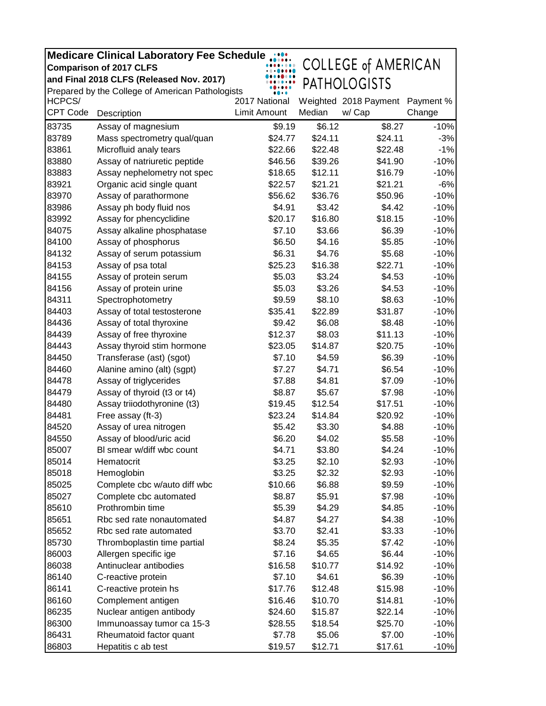| <b>Medicare Clinical Laboratory Fee Schedule</b> |                                                  |                     |         |                            |           |  |
|--------------------------------------------------|--------------------------------------------------|---------------------|---------|----------------------------|-----------|--|
|                                                  | <b>Comparison of 2017 CLFS</b>                   |                     |         | <b>COLLEGE of AMERICAN</b> |           |  |
|                                                  | and Final 2018 CLFS (Released Nov. 2017)         |                     |         | <b>PATHOLOGISTS</b>        |           |  |
|                                                  | Prepared by the College of American Pathologists |                     |         |                            |           |  |
| HCPCS/                                           |                                                  | 2017 National       |         | Weighted 2018 Payment      | Payment % |  |
| CPT Code                                         | Description                                      | <b>Limit Amount</b> | Median  | w/ Cap                     | Change    |  |
| 83735                                            | Assay of magnesium                               | \$9.19              | \$6.12  | \$8.27                     | $-10%$    |  |
| 83789                                            | Mass spectrometry qual/quan                      | \$24.77             | \$24.11 | \$24.11                    | $-3%$     |  |
| 83861                                            | Microfluid analy tears                           | \$22.66             | \$22.48 | \$22.48                    | $-1%$     |  |
| 83880                                            | Assay of natriuretic peptide                     | \$46.56             | \$39.26 | \$41.90                    | $-10%$    |  |
| 83883                                            | Assay nephelometry not spec                      | \$18.65             | \$12.11 | \$16.79                    | $-10%$    |  |
| 83921                                            | Organic acid single quant                        | \$22.57             | \$21.21 | \$21.21                    | $-6%$     |  |
| 83970                                            | Assay of parathormone                            | \$56.62             | \$36.76 | \$50.96                    | $-10%$    |  |
| 83986                                            | Assay ph body fluid nos                          | \$4.91              | \$3.42  | \$4.42                     | $-10%$    |  |
| 83992                                            | Assay for phencyclidine                          | \$20.17             | \$16.80 | \$18.15                    | $-10%$    |  |
| 84075                                            | Assay alkaline phosphatase                       | \$7.10              | \$3.66  | \$6.39                     | $-10%$    |  |
| 84100                                            | Assay of phosphorus                              | \$6.50              | \$4.16  | \$5.85                     | $-10%$    |  |
| 84132                                            | Assay of serum potassium                         | \$6.31              | \$4.76  | \$5.68                     | $-10%$    |  |
| 84153                                            | Assay of psa total                               | \$25.23             | \$16.38 | \$22.71                    | $-10%$    |  |
| 84155                                            | Assay of protein serum                           | \$5.03              | \$3.24  | \$4.53                     | $-10%$    |  |
| 84156                                            | Assay of protein urine                           | \$5.03              | \$3.26  | \$4.53                     | $-10%$    |  |
| 84311                                            | Spectrophotometry                                | \$9.59              | \$8.10  | \$8.63                     | $-10%$    |  |
| 84403                                            | Assay of total testosterone                      | \$35.41             | \$22.89 | \$31.87                    | $-10%$    |  |
| 84436                                            | Assay of total thyroxine                         | \$9.42              | \$6.08  | \$8.48                     | $-10%$    |  |
| 84439                                            | Assay of free thyroxine                          | \$12.37             | \$8.03  | \$11.13                    | $-10%$    |  |
| 84443                                            | Assay thyroid stim hormone                       | \$23.05             | \$14.87 | \$20.75                    | $-10%$    |  |
| 84450                                            | Transferase (ast) (sgot)                         | \$7.10              | \$4.59  | \$6.39                     | $-10%$    |  |
| 84460                                            | Alanine amino (alt) (sgpt)                       | \$7.27              | \$4.71  | \$6.54                     | $-10%$    |  |
| 84478                                            | Assay of triglycerides                           | \$7.88              | \$4.81  | \$7.09                     | $-10%$    |  |
| 84479                                            | Assay of thyroid (t3 or t4)                      | \$8.87              | \$5.67  | \$7.98                     | $-10%$    |  |
| 84480                                            | Assay triiodothyronine (t3)                      | \$19.45             | \$12.54 | \$17.51                    | $-10%$    |  |
| 84481                                            | Free assay (ft-3)                                | \$23.24             | \$14.84 | \$20.92                    | $-10%$    |  |
| 84520                                            | Assay of urea nitrogen                           | \$5.42              | \$3.30  | \$4.88                     | $-10%$    |  |
| 84550                                            | Assay of blood/uric acid                         | \$6.20              | \$4.02  | \$5.58                     | $-10%$    |  |
| 85007                                            | BI smear w/diff wbc count                        | \$4.71              | \$3.80  | \$4.24                     | $-10%$    |  |
| 85014                                            | Hematocrit                                       | \$3.25              | \$2.10  | \$2.93                     | $-10%$    |  |
| 85018                                            | Hemoglobin                                       | \$3.25              | \$2.32  | \$2.93                     | $-10%$    |  |
| 85025                                            | Complete cbc w/auto diff wbc                     | \$10.66             | \$6.88  | \$9.59                     | $-10%$    |  |
| 85027                                            | Complete cbc automated                           | \$8.87              | \$5.91  | \$7.98                     | $-10%$    |  |
| 85610                                            | Prothrombin time                                 | \$5.39              | \$4.29  | \$4.85                     | $-10%$    |  |
| 85651                                            | Rbc sed rate nonautomated                        | \$4.87              | \$4.27  | \$4.38                     | $-10%$    |  |
| 85652                                            | Rbc sed rate automated                           | \$3.70              | \$2.41  | \$3.33                     | $-10%$    |  |
| 85730                                            | Thromboplastin time partial                      | \$8.24              | \$5.35  | \$7.42                     | $-10%$    |  |
| 86003                                            | Allergen specific ige                            | \$7.16              | \$4.65  | \$6.44                     | $-10%$    |  |
| 86038                                            | Antinuclear antibodies                           | \$16.58             | \$10.77 | \$14.92                    | $-10%$    |  |
| 86140                                            | C-reactive protein                               | \$7.10              | \$4.61  | \$6.39                     | $-10%$    |  |
| 86141                                            | C-reactive protein hs                            | \$17.76             | \$12.48 | \$15.98                    | $-10%$    |  |
| 86160                                            | Complement antigen                               | \$16.46             | \$10.70 | \$14.81                    | $-10%$    |  |
| 86235                                            | Nuclear antigen antibody                         | \$24.60             | \$15.87 | \$22.14                    | $-10%$    |  |
| 86300                                            | Immunoassay tumor ca 15-3                        | \$28.55             | \$18.54 | \$25.70                    | $-10%$    |  |
| 86431                                            | Rheumatoid factor quant                          | \$7.78              | \$5.06  | \$7.00                     | $-10%$    |  |
| 86803                                            | Hepatitis c ab test                              | \$19.57             | \$12.71 | \$17.61                    | $-10%$    |  |